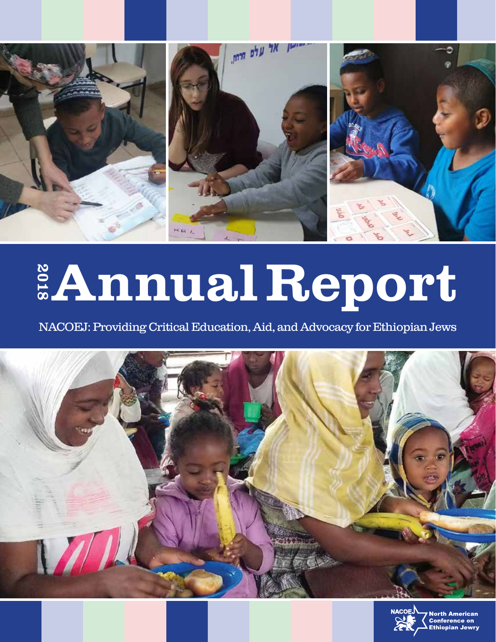

# AnnualReport 2018

NACOEJ: Providing Critical Education, Aid, and Advocacy for Ethiopian Jews



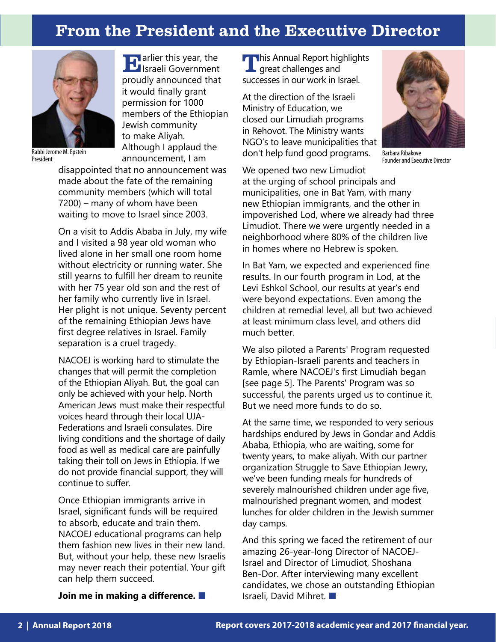# From the President and the Executive Director



Rabbi Jerome M. Epstein President

**IF** arlier this year, the Israeli Government proudly announced that it would finally grant permission for 1000 members of the Ethiopian Jewish community to make Aliyah. Although I applaud the announcement, I am

disappointed that no announcement was made about the fate of the remaining community members (which will total 7200) – many of whom have been waiting to move to Israel since 2003.

On a visit to Addis Ababa in July, my wife and I visited a 98 year old woman who lived alone in her small one room home without electricity or running water. She still yearns to fulfill her dream to reunite with her 75 year old son and the rest of her family who currently live in Israel. Her plight is not unique. Seventy percent of the remaining Ethiopian Jews have first degree relatives in Israel. Family separation is a cruel tragedy.

NACOEJ is working hard to stimulate the changes that will permit the completion of the Ethiopian Aliyah. But, the goal can only be achieved with your help. North American Jews must make their respectful voices heard through their local UJA-Federations and Israeli consulates. Dire living conditions and the shortage of daily food as well as medical care are painfully taking their toll on Jews in Ethiopia. If we do not provide financial support, they will continue to suffer.

Once Ethiopian immigrants arrive in Israel, significant funds will be required to absorb, educate and train them. NACOEJ educational programs can help them fashion new lives in their new land. But, without your help, these new Israelis may never reach their potential. Your gift can help them succeed.

**Join me in making a difference.** ■

**This Annual Report highlights** great challenges and successes in our work in Israel.

At the direction of the Israeli Ministry of Education, we closed our Limudiah programs in Rehovot. The Ministry wants NGO's to leave municipalities that don't help fund good programs.



Barbara Ribakove Founder and Executive Director

We opened two new Limudiot at the urging of school principals and municipalities, one in Bat Yam, with many new Ethiopian immigrants, and the other in impoverished Lod, where we already had three Limudiot. There we were urgently needed in a neighborhood where 80% of the children live in homes where no Hebrew is spoken.

In Bat Yam, we expected and experienced fine results. In our fourth program in Lod, at the Levi Eshkol School, our results at year's end were beyond expectations. Even among the children at remedial level, all but two achieved at least minimum class level, and others did much better.

We also piloted a Parents' Program requested by Ethiopian-Israeli parents and teachers in Ramle, where NACOEJ's first Limudiah began [see page 5]. The Parents' Program was so successful, the parents urged us to continue it. But we need more funds to do so.

At the same time, we responded to very serious hardships endured by Jews in Gondar and Addis Ababa, Ethiopia, who are waiting, some for twenty years, to make aliyah. With our partner organization Struggle to Save Ethiopian Jewry, we've been funding meals for hundreds of severely malnourished children under age five, malnourished pregnant women, and modest lunches for older children in the Jewish summer day camps.

And this spring we faced the retirement of our amazing 26-year-long Director of NACOEJ-Israel and Director of Limudiot, Shoshana Ben-Dor. After interviewing many excellent candidates, we chose an outstanding Ethiopian Israeli, David Mihret. ■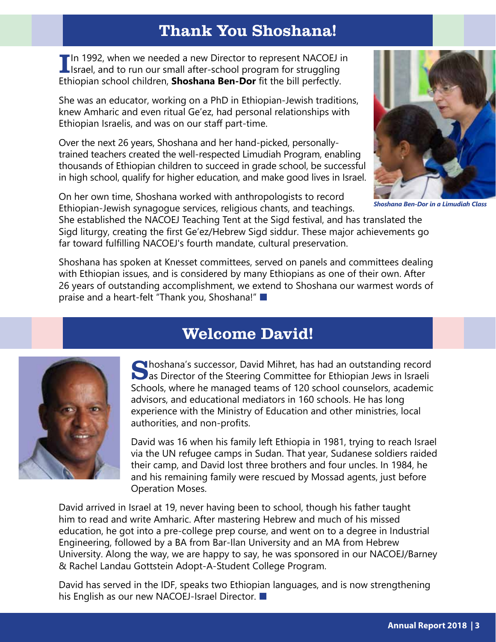# Thank You Shoshana!

**III** In 1992, when we needed a new Director to represent NACOEJ in **I** Israel, and to run our small after-school program for struggling Ethiopian school children, **Shoshana Ben-Dor** fit the bill perfectly.

She was an educator, working on a PhD in Ethiopian-Jewish traditions, knew Amharic and even ritual Ge'ez, had personal relationships with Ethiopian Israelis, and was on our staff part-time.

Over the next 26 years, Shoshana and her hand-picked, personallytrained teachers created the well-respected Limudiah Program, enabling thousands of Ethiopian children to succeed in grade school, be successful in high school, qualify for higher education, and make good lives in Israel.

On her own time, Shoshana worked with anthropologists to record Ethiopian-Jewish synagogue services, religious chants, and teachings.



*Shoshana Ben-Dor in a Limudiah Class*

She established the NACOEJ Teaching Tent at the Sigd festival, and has translated the Sigd liturgy, creating the first Ge'ez/Hebrew Sigd siddur. These major achievements go far toward fulfilling NACOEJ's fourth mandate, cultural preservation.

Shoshana has spoken at Knesset committees, served on panels and committees dealing with Ethiopian issues, and is considered by many Ethiopians as one of their own. After 26 years of outstanding accomplishment, we extend to Shoshana our warmest words of praise and a heart-felt "Thank you, Shoshana!" ■



# Welcome David!

Shoshana's successor, David Mihret, has had an outstanding record as Director of the Steering Committee for Ethiopian Jews in Israeli Schools, where he managed teams of 120 school counselors, academic advisors, and educational mediators in 160 schools. He has long experience with the Ministry of Education and other ministries, local authorities, and non-profits.

David was 16 when his family left Ethiopia in 1981, trying to reach Israel via the UN refugee camps in Sudan. That year, Sudanese soldiers raided their camp, and David lost three brothers and four uncles. In 1984, he and his remaining family were rescued by Mossad agents, just before Operation Moses.

David arrived in Israel at 19, never having been to school, though his father taught him to read and write Amharic. After mastering Hebrew and much of his missed education, he got into a pre-college prep course, and went on to a degree in Industrial Engineering, followed by a BA from Bar-Ilan University and an MA from Hebrew University. Along the way, we are happy to say, he was sponsored in our NACOEJ/Barney & Rachel Landau Gottstein Adopt-A-Student College Program.

David has served in the IDF, speaks two Ethiopian languages, and is now strengthening his English as our new NACOEJ-Israel Director. ■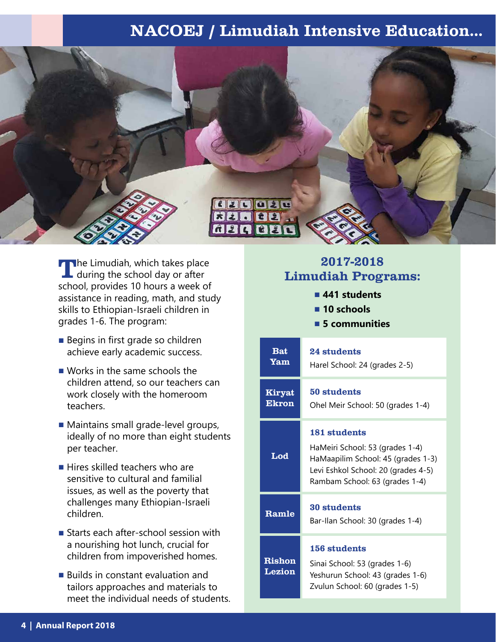# NACOEJ / Limudiah Intensive Education...



The Limudiah, which takes place<br>
during the school day or after school, provides 10 hours a week of assistance in reading, math, and study skills to Ethiopian-Israeli children in grades 1-6. The program:

- Begins in first grade so children achieve early academic success.
- Works in the same schools the children attend, so our teachers can work closely with the homeroom teachers.
- Maintains small grade-level groups, ideally of no more than eight students per teacher.
- Hires skilled teachers who are sensitive to cultural and familial issues, as well as the poverty that challenges many Ethiopian-Israeli children.
- Starts each after-school session with a nourishing hot lunch, crucial for children from impoverished homes.
- Builds in constant evaluation and tailors approaches and materials to meet the individual needs of students.

#### 2017-2018 Limudiah Programs:

- **■ 441 students**
- **■ 10 schools**
- **■ 5 communities**

| <b>Bat</b><br>Yam             | 24 students<br>Harel School: 24 (grades 2-5)                                                                                                                   |
|-------------------------------|----------------------------------------------------------------------------------------------------------------------------------------------------------------|
| <b>Kiryat</b><br><b>Ekron</b> | 50 students<br>Ohel Meir School: 50 (grades 1-4)                                                                                                               |
| Lod                           | 181 students<br>HaMeiri School: 53 (grades 1-4)<br>HaMaapilim School: 45 (grades 1-3)<br>Levi Eshkol School: 20 (grades 4-5)<br>Rambam School: 63 (grades 1-4) |
| Ramle                         | 30 students<br>Bar-Ilan School: 30 (grades 1-4)                                                                                                                |
| <b>Rishon</b><br>Lezion       | 156 students<br>Sinai School: 53 (grades 1-6)<br>Yeshurun School: 43 (grades 1-6)<br>Zvulun School: 60 (grades 1-5)                                            |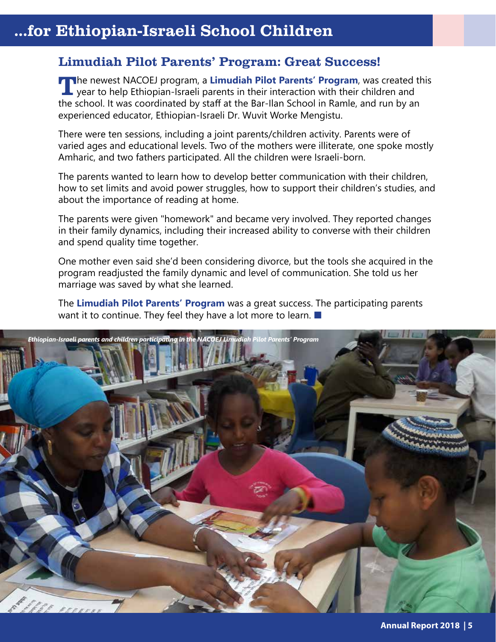# ...for Ethiopian-Israeli School Children.

#### Limudiah Pilot Parents' Program: Great Success!

The newest NACOEJ program, a **Limudiah Pilot Parents' Program**, was created this year to help Ethiopian-Israeli parents in their interaction with their children and the school. It was coordinated by staff at the Bar-Ilan School in Ramle, and run by an experienced educator, Ethiopian-Israeli Dr. Wuvit Worke Mengistu.

There were ten sessions, including a joint parents/children activity. Parents were of varied ages and educational levels. Two of the mothers were illiterate, one spoke mostly Amharic, and two fathers participated. All the children were Israeli-born.

The parents wanted to learn how to develop better communication with their children, how to set limits and avoid power struggles, how to support their children's studies, and about the importance of reading at home.

The parents were given "homework" and became very involved. They reported changes in their family dynamics, including their increased ability to converse with their children and spend quality time together.

One mother even said she'd been considering divorce, but the tools she acquired in the program readjusted the family dynamic and level of communication. She told us her marriage was saved by what she learned.

The **Limudiah Pilot Parents' Program** was a great success. The participating parents want it to continue. They feel they have a lot more to learn. ■

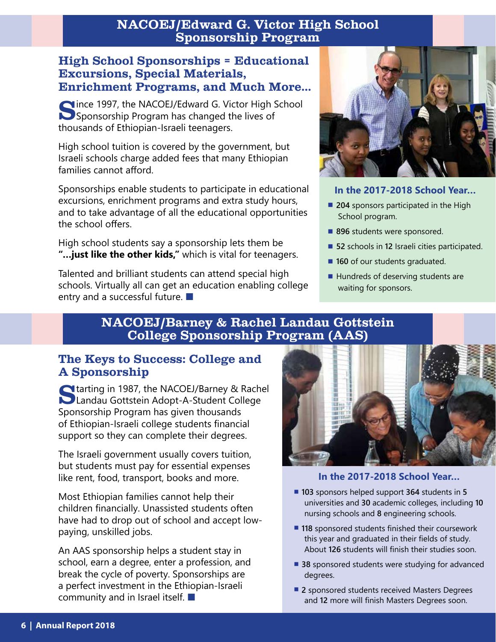#### NACOEJ/Edward G. Victor High School Sponsorship Program

#### High School Sponsorships = Educational Excursions, Special Materials, Enrichment Programs, and Much More…

Clince 1997, the NACOEJ/Edward G. Victor High School **Sponsorship Program has changed the lives of** thousands of Ethiopian-Israeli teenagers.

High school tuition is covered by the government, but Israeli schools charge added fees that many Ethiopian families cannot afford.

Sponsorships enable students to participate in educational excursions, enrichment programs and extra study hours, and to take advantage of all the educational opportunities the school offers.

High school students say a sponsorship lets them be **"…just like the other kids,"** which is vital for teenagers.

Talented and brilliant students can attend special high schools. Virtually all can get an education enabling college entry and a successful future. ■



#### **In the 2017-2018 School Year…**

- 204 sponsors participated in the High School program.
- 896 students were sponsored.
- **52** schools in **12** Israeli cities participated.
- **160** of our students graduated.
- Hundreds of deserving students are waiting for sponsors.

#### NACOEJ/Barney & Rachel Landau Gottstein College Sponsorship Program (AAS)

#### The Keys to Success: College and A Sponsorship

Starting in 1987, the NACOEJ/Barney & Rachel Landau Gottstein Adopt-A-Student College Sponsorship Program has given thousands of Ethiopian-Israeli college students financial support so they can complete their degrees.

The Israeli government usually covers tuition, but students must pay for essential expenses like rent, food, transport, books and more.

Most Ethiopian families cannot help their children financially. Unassisted students often have had to drop out of school and accept lowpaying, unskilled jobs.

An AAS sponsorship helps a student stay in school, earn a degree, enter a profession, and break the cycle of poverty. Sponsorships are a perfect investment in the Ethiopian-Israeli community and in Israel itself. ■



#### **In the 2017-2018 School Year…**

- **▪ <sup>103</sup>** sponsors helped support **364** students in **<sup>5</sup>** universities and **30** academic colleges, including **10** nursing schools and **8** engineering schools.
- 118 sponsored students finished their coursework this year and graduated in their fields of study. About **126** students will finish their studies soon.
- **38** sponsored students were studying for advanced degrees.
- 2 sponsored students received Masters Degrees and **12** more will finish Masters Degrees soon.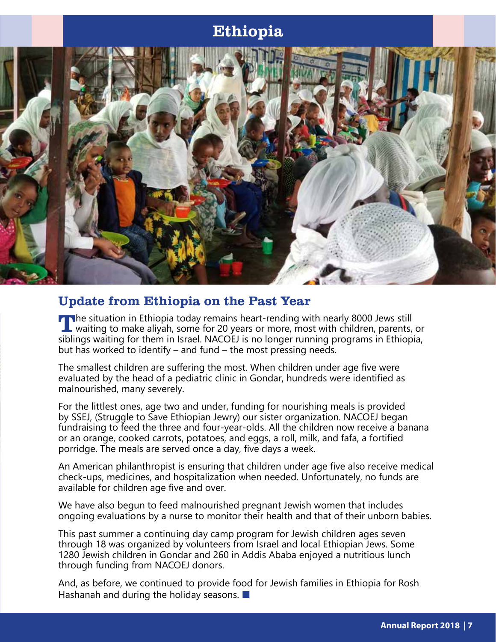## Ethiopia



#### Update from Ethiopia on the Past Year

The situation in Ethiopia today remains heart-rending with nearly 8000 Jews still  $\mathsf L$  waiting to make aliyah, some for 20 years or more, most with children, parents, or siblings waiting for them in Israel. NACOEJ is no longer running programs in Ethiopia, but has worked to identify – and fund – the most pressing needs.

The smallest children are suffering the most. When children under age five were evaluated by the head of a pediatric clinic in Gondar, hundreds were identified as malnourished, many severely.

For the littlest ones, age two and under, funding for nourishing meals is provided by SSEJ, (Struggle to Save Ethiopian Jewry) our sister organization. NACOEJ began fundraising to feed the three and four-year-olds. All the children now receive a banana or an orange, cooked carrots, potatoes, and eggs, a roll, milk, and fafa, a fortified porridge. The meals are served once a day, five days a week.

An American philanthropist is ensuring that children under age five also receive medical check-ups, medicines, and hospitalization when needed. Unfortunately, no funds are available for children age five and over.

We have also begun to feed malnourished pregnant Jewish women that includes ongoing evaluations by a nurse to monitor their health and that of their unborn babies.

This past summer a continuing day camp program for Jewish children ages seven through 18 was organized by volunteers from Israel and local Ethiopian Jews. Some 1280 Jewish children in Gondar and 260 in Addis Ababa enjoyed a nutritious lunch through funding from NACOEJ donors.

And, as before, we continued to provide food for Jewish families in Ethiopia for Rosh Hashanah and during the holiday seasons. ■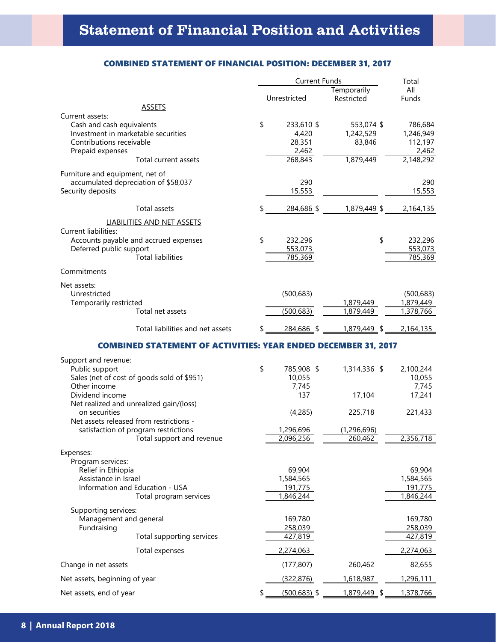| <b>COMBINED STATEMENT OF FINANCIAL POSITION: DECEMBER 31, 2017</b> |  |  |  |  |  |  |
|--------------------------------------------------------------------|--|--|--|--|--|--|
|--------------------------------------------------------------------|--|--|--|--|--|--|

|                                                                                                                                     |                                                                                                                                  | <b>Current Funds</b>                                     | Total                                          |                                                          |
|-------------------------------------------------------------------------------------------------------------------------------------|----------------------------------------------------------------------------------------------------------------------------------|----------------------------------------------------------|------------------------------------------------|----------------------------------------------------------|
|                                                                                                                                     |                                                                                                                                  | Unrestricted                                             | Temporarily<br>Restricted                      | All<br>Funds                                             |
|                                                                                                                                     | <b>ASSETS</b>                                                                                                                    |                                                          |                                                |                                                          |
| Current assets:<br>Cash and cash equivalents<br>Investment in marketable securities<br>Contributions receivable<br>Prepaid expenses | Total current assets                                                                                                             | \$<br>233,610 \$<br>4,420<br>28,351<br>2,462<br>268,843  | 553,074 \$<br>1,242,529<br>83,846<br>1,879,449 | 786,684<br>1,246,949<br>112,197<br>2,462<br>2,148,292    |
|                                                                                                                                     |                                                                                                                                  |                                                          |                                                |                                                          |
| Furniture and equipment, net of<br>Security deposits                                                                                | accumulated depreciation of \$58,037                                                                                             | 290<br>15,553                                            |                                                | 290<br>15,553                                            |
|                                                                                                                                     | Total assets                                                                                                                     | \$<br>284,686 \$                                         | 1,879,449 \$                                   | 2,164,135                                                |
|                                                                                                                                     | LIABILITIES AND NET ASSETS                                                                                                       |                                                          |                                                |                                                          |
| <b>Current liabilities:</b><br>Deferred public support                                                                              | Accounts payable and accrued expenses<br><b>Total liabilities</b>                                                                | \$<br>232,296<br>553,073<br>785,369                      | \$                                             | 232,296<br>553,073<br>785,369                            |
| Commitments                                                                                                                         |                                                                                                                                  |                                                          |                                                |                                                          |
| Net assets:<br>Unrestricted<br>Temporarily restricted                                                                               | Total net assets                                                                                                                 | (500, 683)<br>(500, 683)                                 | 1,879,449<br>1,879,449                         | (500, 683)<br>1,879,449<br>1,378,766                     |
|                                                                                                                                     | Total liabilities and net assets                                                                                                 | 284,686 \$                                               | 1,879,449 \$                                   | 2,164,135                                                |
|                                                                                                                                     | <b>COMBINED STATEMENT OF ACTIVITIES: YEAR ENDED DECEMBER 31, 2017</b>                                                            |                                                          |                                                |                                                          |
| Support and revenue:<br>Public support<br>Other income<br>Dividend income<br>on securities                                          | Sales (net of cost of goods sold of \$951)<br>Net realized and unrealized gain/(loss)<br>Net assets released from restrictions - | \$<br>785,908 \$<br>10,055<br>7,745<br>137<br>(4, 285)   | 1,314,336 \$<br>17,104<br>225,718              | 2,100,244<br>10,055<br>7,745<br>17,241<br>221,433        |
|                                                                                                                                     | satisfaction of program restrictions                                                                                             | 1,296,696                                                | (1, 296, 696)                                  |                                                          |
| Expenses:<br>Program services:<br>Relief in Ethiopia<br>Assistance in Israel                                                        | Total support and revenue<br>Information and Education - USA<br>Total program services                                           | 2.096.256<br>69,904<br>1,584,565<br>191,775<br>1,846,244 | 260.462                                        | 2.356.718<br>69,904<br>1,584,565<br>191,775<br>1,846,244 |
| Supporting services:<br>Management and general<br>Fundraising                                                                       | Total supporting services                                                                                                        | 169,780<br>258,039<br>427,819                            |                                                | 169,780<br>258,039<br>427,819                            |
|                                                                                                                                     | Total expenses                                                                                                                   | 2,274,063                                                |                                                | 2,274,063                                                |
| Change in net assets                                                                                                                |                                                                                                                                  | (177, 807)                                               | 260,462                                        | 82,655<br>1,296,111                                      |
| Net assets, beginning of year                                                                                                       |                                                                                                                                  | (322, 876)                                               | 1,618,987                                      |                                                          |
| Net assets, end of year                                                                                                             |                                                                                                                                  | \$<br>$(500, 683)$ \$                                    | 1,879,449 \$                                   | 1,378,766                                                |

See Notes to Combined Financial Statements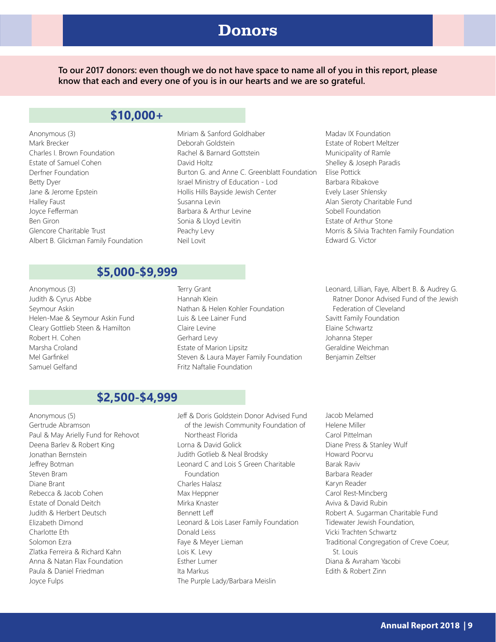### Donors

**To our 2017 donors: even though we do not have space to name all of you in this report, please know that each and every one of you is in our hearts and we are so grateful.**

#### **\$10,000+**

- Anonymous (3) Mark Brecker Charles I. Brown Foundation Estate of Samuel Cohen Derfner Foundation Betty Dyer Jane & Jerome Epstein Halley Faust Joyce Fefferman Ben Giron Glencore Charitable Trust Albert B. Glickman Family Foundation
- Miriam & Sanford Goldhaber Deborah Goldstein Rachel & Barnard Gottstein David Holtz Burton G. and Anne C. Greenblatt Foundation Israel Ministry of Education - Lod Hollis Hills Bayside Jewish Center Susanna Levin Barbara & Arthur Levine Sonia & Lloyd Levitin Peachy Levy Neil Lovit
- Madav IX Foundation Estate of Robert Meltzer Municipality of Ramle Shelley & Joseph Paradis Elise Pottick Barbara Ribakove Evely Laser Shlensky Alan Sieroty Charitable Fund Sobell Foundation Estate of Arthur Stone Morris & Silvia Trachten Family Foundation Edward G. Victor

#### **\$5,000-\$9,999**

- Anonymous (3) Judith & Cyrus Abbe Seymour Askin Helen-Mae & Seymour Askin Fund Cleary Gottlieb Steen & Hamilton Robert H. Cohen Marsha Croland Mel Garfinkel Samuel Gelfand
- Terry Grant Hannah Klein Nathan & Helen Kohler Foundation Luis & Lee Lainer Fund Claire Levine Gerhard Levy Estate of Marion Lipsitz Steven & Laura Mayer Family Foundation Fritz Naftalie Foundation
- Leonard, Lillian, Faye, Albert B. & Audrey G. Ratner Donor Advised Fund of the Jewish Federation of Cleveland Savitt Family Foundation Elaine Schwartz Johanna Steper Geraldine Weichman Benjamin Zeltser

#### **\$2,500-\$4,999**

- Anonymous (5) Gertrude Abramson Paul & May Arielly Fund for Rehovot Deena Barlev & Robert King Jonathan Bernstein Jeffrey Botman Steven Bram Diane Brant Rebecca & Jacob Cohen Estate of Donald Deitch Judith & Herbert Deutsch Elizabeth Dimond Charlotte Eth Solomon Ezra Zlatka Ferreira & Richard Kahn Anna & Natan Flax Foundation Paula & Daniel Friedman Joyce Fulps
- Jeff & Doris Goldstein Donor Advised Fund of the Jewish Community Foundation of Northeast Florida Lorna & David Golick Judith Gotlieb & Neal Brodsky Leonard C and Lois S Green Charitable Foundation Charles Halasz Max Heppner Mirka Knaster Bennett Leff Leonard & Lois Laser Family Foundation Donald Leiss Faye & Meyer Lieman Lois K. Levy Esther Lumer Ita Markus The Purple Lady/Barbara Meislin
- Jacob Melamed Helene Miller Carol Pittelman Diane Press & Stanley Wulf Howard Poorvu Barak Raviv Barbara Reader Karyn Reader Carol Rest-Mincberg Aviva & David Rubin Robert A. Sugarman Charitable Fund Tidewater Jewish Foundation, Vicki Trachten Schwartz Traditional Congregation of Creve Coeur, St. Louis Diana & Avraham Yacobi Edith & Robert Zinn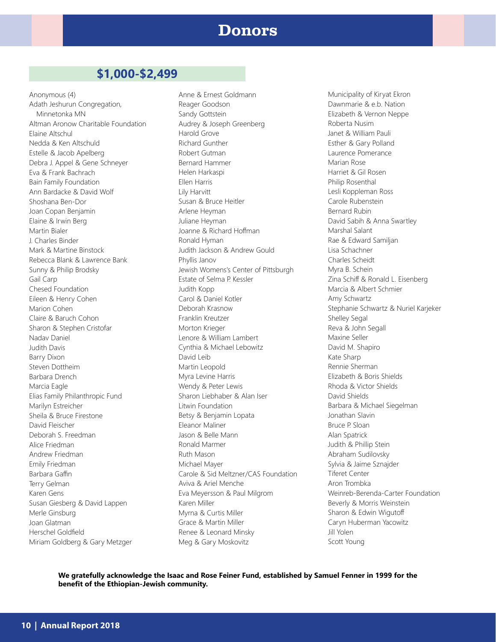#### Donors

#### **\$1,000-\$2,499**

Anonymous (4) Adath Jeshurun Congregation, Minnetonka MN Altman Aronow Charitable Foundation Elaine Altschul Nedda & Ken Altschuld Estelle & Jacob Apelberg Debra J. Appel & Gene Schneyer Eva & Frank Bachrach Bain Family Foundation Ann Bardacke & David Wolf Shoshana Ben-Dor Joan Copan Benjamin Elaine & Irwin Berg Martin Bialer J. Charles Binder Mark & Martine Binstock Rebecca Blank & Lawrence Bank Sunny & Philip Brodsky Gail Carp Chesed Foundation Eileen & Henry Cohen Marion Cohen Claire & Baruch Cohon Sharon & Stephen Cristofar Nadav Daniel Judith Davis Barry Dixon Steven Dottheim Barbara Drench Marcia Eagle Elias Family Philanthropic Fund Marilyn Estreicher Sheila & Bruce Firestone David Fleischer Deborah S. Freedman Alice Friedman Andrew Friedman Emily Friedman Barbara Gaffin Terry Gelman Karen Gens Susan Giesberg & David Lappen Merle Ginsburg Joan Glatman Herschel Goldfield Miriam Goldberg & Gary Metzger

Anne & Ernest Goldmann Reager Goodson Sandy Gottstein Audrey & Joseph Greenberg Harold Grove Richard Gunther Robert Gutman Bernard Hammer Helen Harkaspi Ellen Harris Lily Harvitt Susan & Bruce Heitler Arlene Heyman Juliane Heyman Joanne & Richard Hoffman Ronald Hyman Judith Jackson & Andrew Gould Phyllis Janov Jewish Womens's Center of Pittsburgh Estate of Selma P. Kessler Judith Kopp Carol & Daniel Kotler Deborah Krasnow Franklin Kreutzer Morton Krieger Lenore & William Lambert Cynthia & Michael Lebowitz David Leib Martin Leopold Myra Levine Harris Wendy & Peter Lewis Sharon Liebhaber & Alan Iser Litwin Foundation Betsy & Benjamin Lopata Eleanor Maliner Jason & Belle Mann Ronald Marmer Ruth Mason Michael Mayer Carole & Sid Meltzner/CAS Foundation Aviva & Ariel Menche Eva Meyersson & Paul Milgrom Karen Miller Myrna & Curtis Miller Grace & Martin Miller Renee & Leonard Minsky Meg & Gary Moskovitz

Municipality of Kiryat Ekron Dawnmarie & e.b. Nation Elizabeth & Vernon Neppe Roberta Nusim Janet & William Pauli Esther & Gary Polland Laurence Pomerance Marian Rose Harriet & Gil Rosen Philip Rosenthal Lesli Koppleman Ross Carole Rubenstein Bernard Rubin David Sabih & Anna Swartley Marshal Salant Rae & Edward Samiljan Lisa Schachner Charles Scheidt Myra B. Schein Zina Schiff & Ronald L. Eisenberg Marcia & Albert Schmier Amy Schwartz Stephanie Schwartz & Nuriel Karjeker Shelley Segal Reva & John Segall Maxine Seller David M. Shapiro Kate Sharp Rennie Sherman Elizabeth & Boris Shields Rhoda & Victor Shields David Shields Barbara & Michael Siegelman Jonathan Slavin Bruce P. Sloan Alan Spatrick Judith & Phillip Stein Abraham Sudilovsky Sylvia & Jaime Sznajder Tiferet Center Aron Trombka Weinreb-Berenda-Carter Foundation Beverly & Morris Weinstein Sharon & Edwin Wigutoff Caryn Huberman Yacowitz Jill Yolen Scott Young

**We gratefully acknowledge the Isaac and Rose Feiner Fund, established by Samuel Fenner in 1999 for the benefit of the Ethiopian-Jewish community.**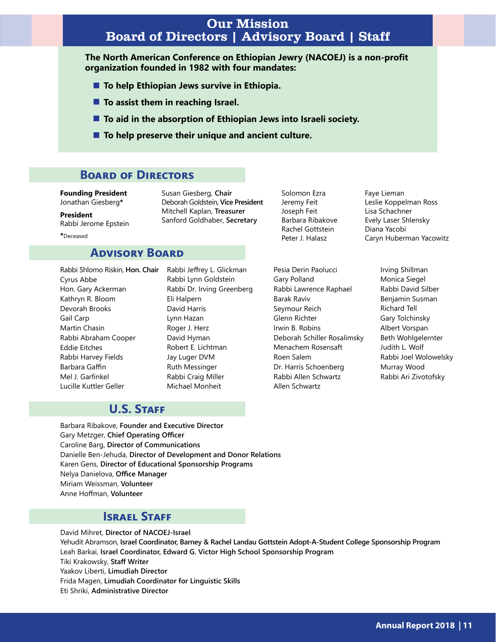#### Our Mission Board of Directors | Advisory Board | Staff

**The North American Conference on Ethiopian Jewry (NACOEJ) is a non-profit organization founded in 1982 with four mandates:**

- **To help Ethiopian Jews survive in Ethiopia.**
- **To assist them in reaching Israel.**
- **To aid in the absorption of Ethiopian Jews into Israeli society.**
- **To help preserve their unique and ancient culture.**

Susan Giesberg, **Chair**

Deborah Goldstein, **Vice President** Mitchell Kaplan, **Treasurer** Sanford Goldhaber, **Secretary**

#### **Board of Directors**

**Founding President** Jonathan Giesberg**\***

**President** Rabbi Jerome Epstein

**\***Deceased

#### **Advisory Board**

Rabbi Shlomo Riskin, **Hon. Chair** Rabbi Jeffrey L. Glickman Cyrus Abbe Hon. Gary Ackerman Kathryn R. Bloom Devorah Brooks Gail Carp Martin Chasin Rabbi Abraham Cooper Eddie Eitches Rabbi Harvey Fields Barbara Gaffin Mel J. Garfinkel Lucille Kuttler Geller

Rabbi Lynn Goldstein Rabbi Dr. Irving Greenberg Eli Halpern David Harris Lynn Hazan Roger J. Herz David Hyman Robert E. Lichtman Jay Luger DVM Ruth Messinger Rabbi Craig Miller Michael Monheit

Solomon Ezra Jeremy Feit Joseph Feit Barbara Ribakove Rachel Gottstein Peter J. Halasz

Pesia Derin Paolucci Gary Polland Rabbi Lawrence Raphael Barak Raviv Seymour Reich Glenn Richter Irwin B. Robins Deborah Schiller Rosalimsky Menachem Rosensaft Roen Salem Dr. Harris Schoenberg Rabbi Allen Schwartz Allen Schwartz

Faye Lieman Leslie Koppelman Ross Lisa Schachner Evely Laser Shlensky Diana Yacobi Caryn Huberman Yacowitz

> Irving Shillman Monica Siegel Rabbi David Silber Benjamin Susman Richard Tell Gary Tolchinsky Albert Vorspan Beth Wohlgelernter Judith L. Wolf Rabbi Joel Wolowelsky Murray Wood Rabbi Ari Zivotofsky

#### **U.S. Staff**

Barbara Ribakove, **Founder and Executive Director** Gary Metzger, **Chief Operating Officer** Caroline Barg, **Director of Communications** Danielle Ben-Jehuda, **Director of Development and Donor Relations** Karen Gens, **Director of Educational Sponsorship Programs** Nelya Danielova, **Office Manager** Miriam Weissman, **Volunteer** Anne Hoffman, **Volunteer**

#### **ISRAEL STAFF**

David Mihret, **Director of NACOEJ-Israel** Yehudit Abramson, **Israel Coordinator, Barney & Rachel Landau Gottstein Adopt-A-Student College Sponsorship Program** Leah Barkai, **Israel Coordinator, Edward G. Victor High School Sponsorship Program** Tiki Krakowsky, **Staff Writer** Yaakov Liberti, **Limudiah Director** Frida Magen, **Limudiah Coordinator for Linguistic Skills** Eti Shriki, **Administrative Director**